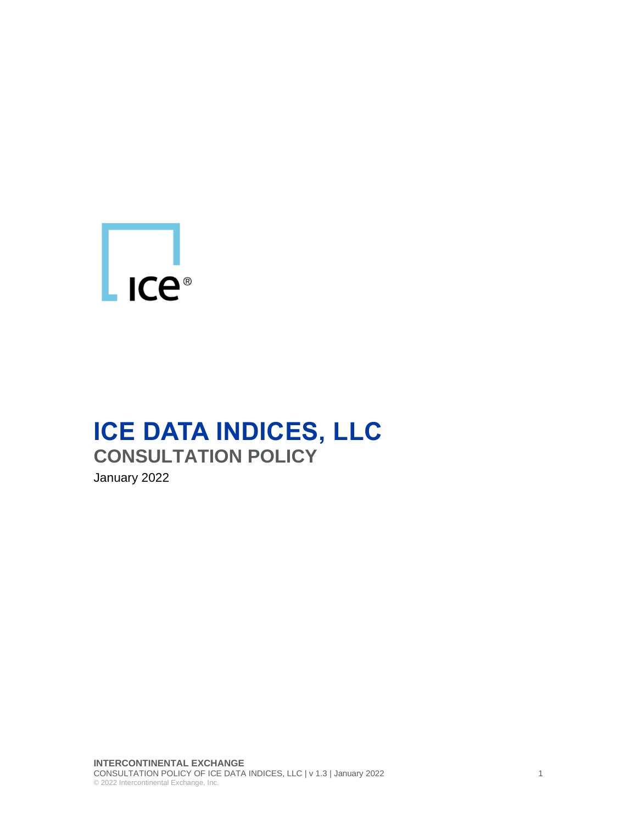

# **ICE DATA INDICES, LLC CONSULTATION POLICY**

January 2022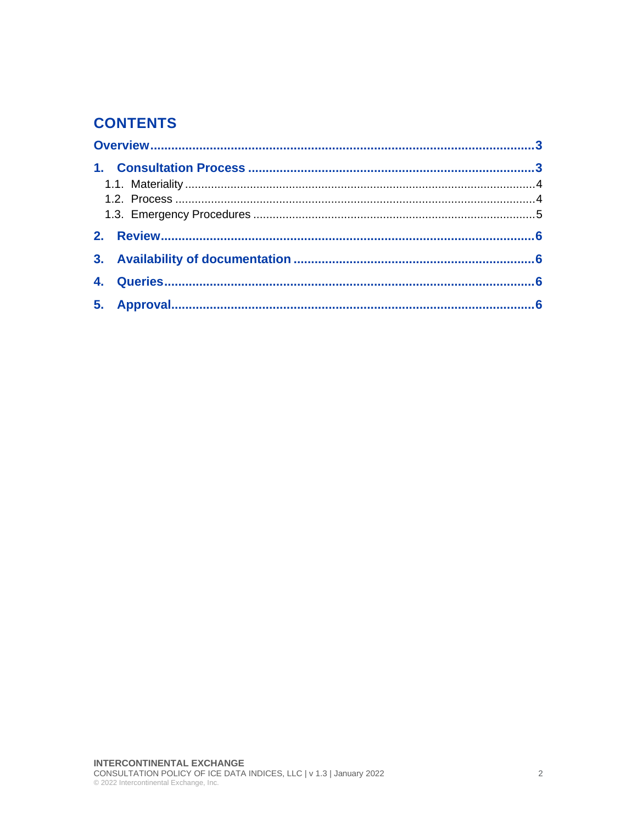### **CONTENTS**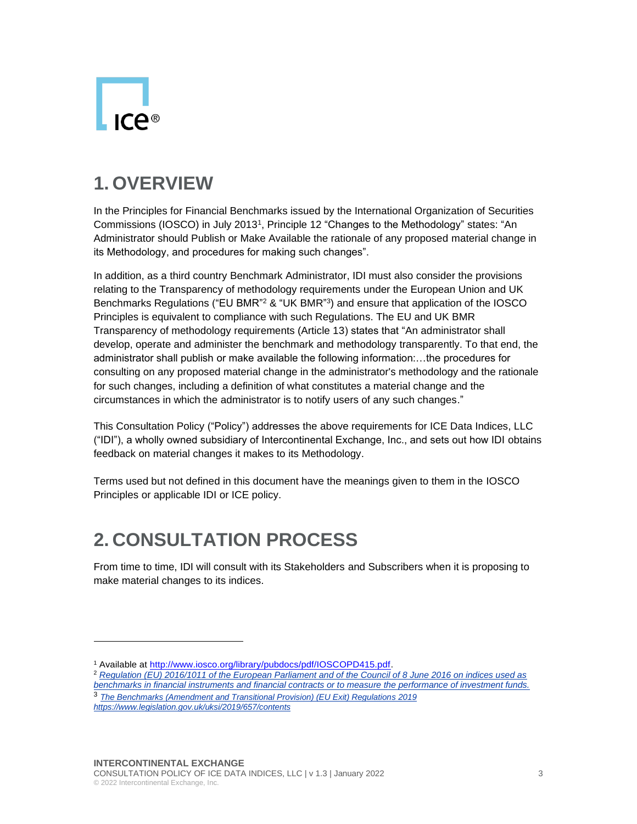

### <span id="page-2-0"></span>**1. OVERVIEW**

In the Principles for Financial Benchmarks issued by the International Organization of Securities Commissions (IOSCO) in July 2013<sup>1</sup> , Principle 12 "Changes to the Methodology" states: "An Administrator should Publish or Make Available the rationale of any proposed material change in its Methodology, and procedures for making such changes".

In addition, as a third country Benchmark Administrator, IDI must also consider the provisions relating to the Transparency of methodology requirements under the European Union and UK Benchmarks Regulations ("EU BMR"<sup>2</sup> & "UK BMR"<sup>3</sup>) and ensure that application of the IOSCO Principles is equivalent to compliance with such Regulations. The EU and UK BMR Transparency of methodology requirements (Article 13) states that "An administrator shall develop, operate and administer the benchmark and methodology transparently. To that end, the administrator shall publish or make available the following information:…the procedures for consulting on any proposed material change in the administrator's methodology and the rationale for such changes, including a definition of what constitutes a material change and the circumstances in which the administrator is to notify users of any such changes."

This Consultation Policy ("Policy") addresses the above requirements for ICE Data Indices, LLC ("IDI"), a wholly owned subsidiary of Intercontinental Exchange, Inc., and sets out how IDI obtains feedback on material changes it makes to its Methodology.

Terms used but not defined in this document have the meanings given to them in the IOSCO Principles or applicable IDI or ICE policy.

### <span id="page-2-1"></span>**2. CONSULTATION PROCESS**

From time to time, IDI will consult with its Stakeholders and Subscribers when it is proposing to make material changes to its indices.

<sup>2</sup> *[Regulation \(EU\) 2016/1011 of the European Parliament and of the Council of 8 June 2016 on indices used as](https://eur-lex.europa.eu/legal-content/EN/TXT/?uri=CELEX%3A32016R1011)  [benchmarks in financial instruments and financial contracts or to measure the performance of investment funds.](https://eur-lex.europa.eu/legal-content/EN/TXT/?uri=CELEX%3A32016R1011)*

<sup>1</sup> Available at [http://www.iosco.org/library/pubdocs/pdf/IOSCOPD415.pdf.](http://www.iosco.org/library/pubdocs/pdf/IOSCOPD415.pdf)

<sup>3</sup> *The Benchmarks (Amendment and Transitional Provision) (EU Exit) Regulations 2019 <https://www.legislation.gov.uk/uksi/2019/657/contents>*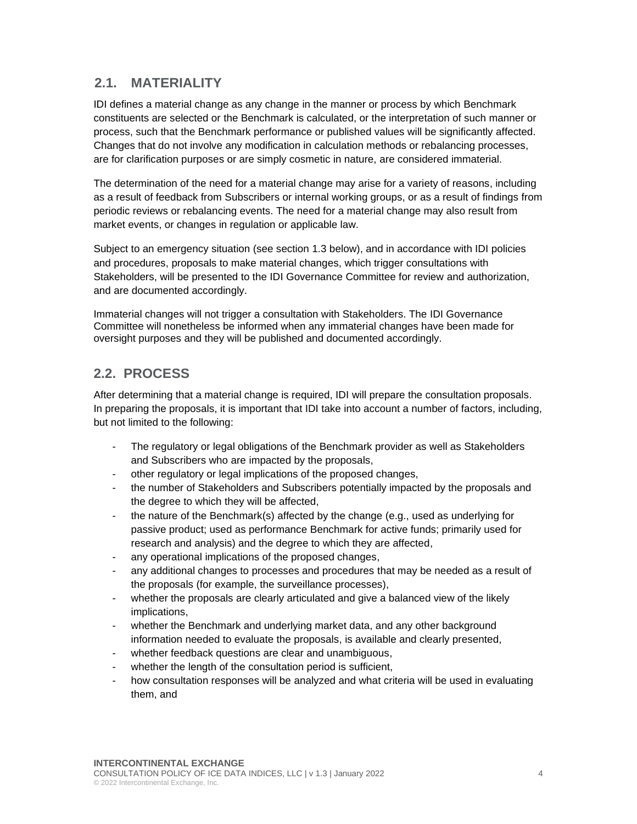#### <span id="page-3-0"></span>**2.1. MATERIALITY**

IDI defines a material change as any change in the manner or process by which Benchmark constituents are selected or the Benchmark is calculated, or the interpretation of such manner or process, such that the Benchmark performance or published values will be significantly affected. Changes that do not involve any modification in calculation methods or rebalancing processes, are for clarification purposes or are simply cosmetic in nature, are considered immaterial.

The determination of the need for a material change may arise for a variety of reasons, including as a result of feedback from Subscribers or internal working groups, or as a result of findings from periodic reviews or rebalancing events. The need for a material change may also result from market events, or changes in regulation or applicable law.

Subject to an emergency situation (see section 1.3 below), and in accordance with IDI policies and procedures, proposals to make material changes, which trigger consultations with Stakeholders, will be presented to the IDI Governance Committee for review and authorization, and are documented accordingly.

Immaterial changes will not trigger a consultation with Stakeholders. The IDI Governance Committee will nonetheless be informed when any immaterial changes have been made for oversight purposes and they will be published and documented accordingly.

#### <span id="page-3-1"></span>**2.2. PROCESS**

After determining that a material change is required, IDI will prepare the consultation proposals. In preparing the proposals, it is important that IDI take into account a number of factors, including, but not limited to the following:

- The regulatory or legal obligations of the Benchmark provider as well as Stakeholders and Subscribers who are impacted by the proposals,
- other regulatory or legal implications of the proposed changes,
- the number of Stakeholders and Subscribers potentially impacted by the proposals and the degree to which they will be affected,
- the nature of the Benchmark(s) affected by the change (e.g., used as underlying for passive product; used as performance Benchmark for active funds; primarily used for research and analysis) and the degree to which they are affected,
- any operational implications of the proposed changes,
- any additional changes to processes and procedures that may be needed as a result of the proposals (for example, the surveillance processes),
- whether the proposals are clearly articulated and give a balanced view of the likely implications,
- whether the Benchmark and underlying market data, and any other background information needed to evaluate the proposals, is available and clearly presented,
- whether feedback questions are clear and unambiguous,
- whether the length of the consultation period is sufficient,
- how consultation responses will be analyzed and what criteria will be used in evaluating them, and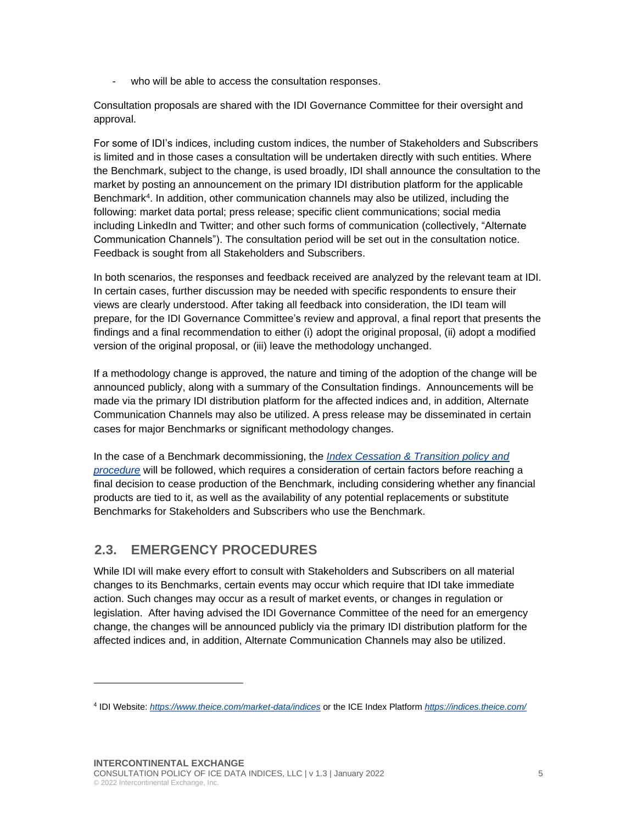- who will be able to access the consultation responses.

Consultation proposals are shared with the IDI Governance Committee for their oversight and approval.

For some of IDI's indices, including custom indices, the number of Stakeholders and Subscribers is limited and in those cases a consultation will be undertaken directly with such entities. Where the Benchmark, subject to the change, is used broadly, IDI shall announce the consultation to the market by posting an announcement on the primary IDI distribution platform for the applicable Benchmark<sup>4</sup> . In addition, other communication channels may also be utilized, including the following: market data portal; press release; specific client communications; social media including LinkedIn and Twitter; and other such forms of communication (collectively, "Alternate Communication Channels"). The consultation period will be set out in the consultation notice. Feedback is sought from all Stakeholders and Subscribers.

In both scenarios, the responses and feedback received are analyzed by the relevant team at IDI. In certain cases, further discussion may be needed with specific respondents to ensure their views are clearly understood. After taking all feedback into consideration, the IDI team will prepare, for the IDI Governance Committee's review and approval, a final report that presents the findings and a final recommendation to either (i) adopt the original proposal, (ii) adopt a modified version of the original proposal, or (iii) leave the methodology unchanged.

If a methodology change is approved, the nature and timing of the adoption of the change will be announced publicly, along with a summary of the Consultation findings. Announcements will be made via the primary IDI distribution platform for the affected indices and, in addition, Alternate Communication Channels may also be utilized. A press release may be disseminated in certain cases for major Benchmarks or significant methodology changes.

In the case of a Benchmark decommissioning, the *[Index Cessation & Transition policy and](https://www.theice.com/market-data/indices/regulation)  [procedure](https://www.theice.com/market-data/indices/regulation)* will be followed, which requires a consideration of certain factors before reaching a final decision to cease production of the Benchmark, including considering whether any financial products are tied to it, as well as the availability of any potential replacements or substitute Benchmarks for Stakeholders and Subscribers who use the Benchmark.

#### <span id="page-4-0"></span>**2.3. EMERGENCY PROCEDURES**

While IDI will make every effort to consult with Stakeholders and Subscribers on all material changes to its Benchmarks, certain events may occur which require that IDI take immediate action. Such changes may occur as a result of market events, or changes in regulation or legislation. After having advised the IDI Governance Committee of the need for an emergency change, the changes will be announced publicly via the primary IDI distribution platform for the affected indices and, in addition, Alternate Communication Channels may also be utilized.

<sup>4</sup> IDI Website: *<https://www.theice.com/market-data/indices>* or the ICE Index Platform *<https://indices.theice.com/>*